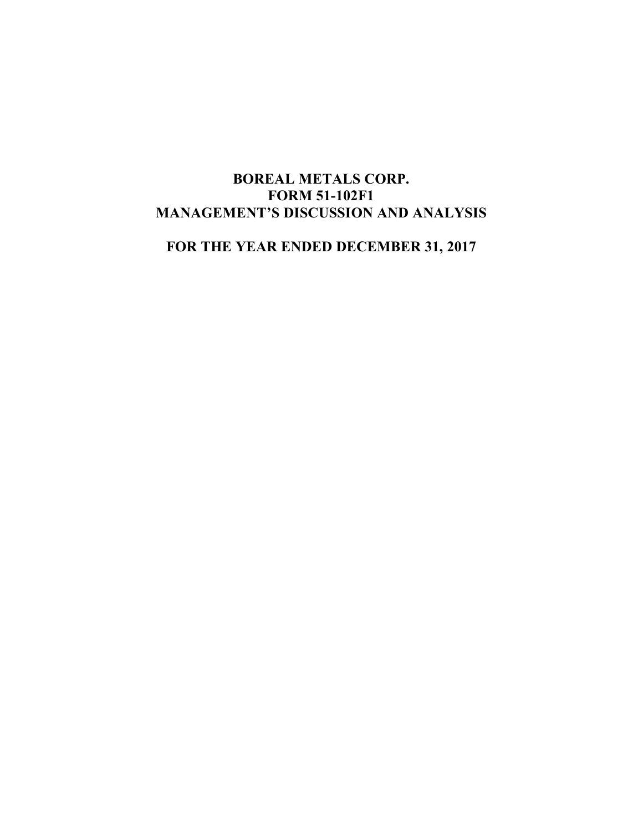# **BOREAL METALS CORP. FORM 51-102F1 MANAGEMENT'S DISCUSSION AND ANALYSIS**

**FOR THE YEAR ENDED DECEMBER 31, 2017**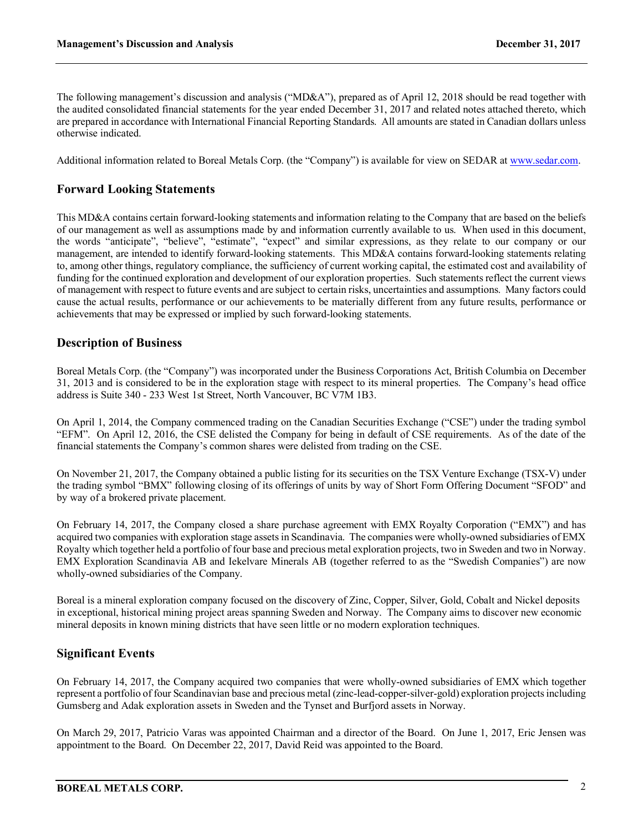The following management's discussion and analysis ("MD&A"), prepared as of April 12, 2018 should be read together with the audited consolidated financial statements for the year ended December 31, 2017 and related notes attached thereto, which are prepared in accordance with International Financial Reporting Standards. All amounts are stated in Canadian dollars unless otherwise indicated.

Additional information related to Boreal Metals Corp. (the "Company") is available for view on SEDAR at www.sedar.com.

## **Forward Looking Statements**

This MD&A contains certain forward-looking statements and information relating to the Company that are based on the beliefs of our management as well as assumptions made by and information currently available to us. When used in this document, the words "anticipate", "believe", "estimate", "expect" and similar expressions, as they relate to our company or our management, are intended to identify forward-looking statements. This MD&A contains forward-looking statements relating to, among other things, regulatory compliance, the sufficiency of current working capital, the estimated cost and availability of funding for the continued exploration and development of our exploration properties. Such statements reflect the current views of management with respect to future events and are subject to certain risks, uncertainties and assumptions. Many factors could cause the actual results, performance or our achievements to be materially different from any future results, performance or achievements that may be expressed or implied by such forward-looking statements.

## **Description of Business**

Boreal Metals Corp. (the "Company") was incorporated under the Business Corporations Act, British Columbia on December 31, 2013 and is considered to be in the exploration stage with respect to its mineral properties. The Company's head office address is Suite 340 - 233 West 1st Street, North Vancouver, BC V7M 1B3.

On April 1, 2014, the Company commenced trading on the Canadian Securities Exchange ("CSE") under the trading symbol "EFM". On April 12, 2016, the CSE delisted the Company for being in default of CSE requirements. As of the date of the financial statements the Company's common shares were delisted from trading on the CSE.

On November 21, 2017, the Company obtained a public listing for its securities on the TSX Venture Exchange (TSX-V) under the trading symbol "BMX" following closing of its offerings of units by way of Short Form Offering Document "SFOD" and by way of a brokered private placement.

On February 14, 2017, the Company closed a share purchase agreement with EMX Royalty Corporation ("EMX") and has acquired two companies with exploration stage assets in Scandinavia. The companies were wholly-owned subsidiaries of EMX Royalty which together held a portfolio of four base and precious metal exploration projects, two in Sweden and two in Norway. EMX Exploration Scandinavia AB and Iekelvare Minerals AB (together referred to as the "Swedish Companies") are now wholly-owned subsidiaries of the Company.

Boreal is a mineral exploration company focused on the discovery of Zinc, Copper, Silver, Gold, Cobalt and Nickel deposits in exceptional, historical mining project areas spanning Sweden and Norway. The Company aims to discover new economic mineral deposits in known mining districts that have seen little or no modern exploration techniques.

## **Significant Events**

On February 14, 2017, the Company acquired two companies that were wholly-owned subsidiaries of EMX which together represent a portfolio of four Scandinavian base and precious metal (zinc-lead-copper-silver-gold) exploration projects including Gumsberg and Adak exploration assets in Sweden and the Tynset and Burfjord assets in Norway.

On March 29, 2017, Patricio Varas was appointed Chairman and a director of the Board. On June 1, 2017, Eric Jensen was appointment to the Board. On December 22, 2017, David Reid was appointed to the Board.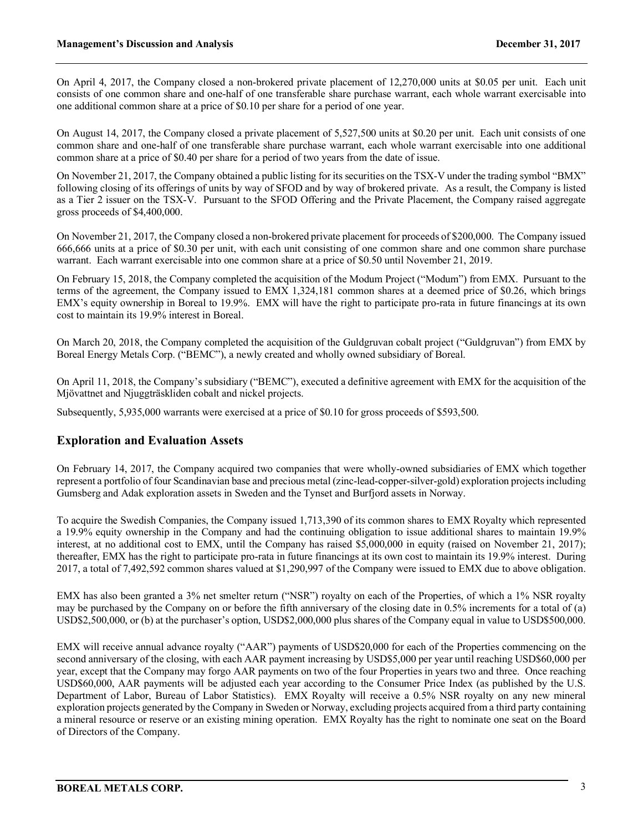On April 4, 2017, the Company closed a non-brokered private placement of 12,270,000 units at \$0.05 per unit. Each unit consists of one common share and one-half of one transferable share purchase warrant, each whole warrant exercisable into one additional common share at a price of \$0.10 per share for a period of one year.

On August 14, 2017, the Company closed a private placement of 5,527,500 units at \$0.20 per unit. Each unit consists of one common share and one-half of one transferable share purchase warrant, each whole warrant exercisable into one additional common share at a price of \$0.40 per share for a period of two years from the date of issue.

On November 21, 2017, the Company obtained a public listing for its securities on the TSX-V under the trading symbol "BMX" following closing of its offerings of units by way of SFOD and by way of brokered private. As a result, the Company is listed as a Tier 2 issuer on the TSX-V. Pursuant to the SFOD Offering and the Private Placement, the Company raised aggregate gross proceeds of \$4,400,000.

On November 21, 2017, the Company closed a non-brokered private placement for proceeds of \$200,000. The Company issued 666,666 units at a price of \$0.30 per unit, with each unit consisting of one common share and one common share purchase warrant. Each warrant exercisable into one common share at a price of \$0.50 until November 21, 2019.

On February 15, 2018, the Company completed the acquisition of the Modum Project ("Modum") from EMX. Pursuant to the terms of the agreement, the Company issued to EMX 1,324,181 common shares at a deemed price of \$0.26, which brings EMX's equity ownership in Boreal to 19.9%. EMX will have the right to participate pro-rata in future financings at its own cost to maintain its 19.9% interest in Boreal.

On March 20, 2018, the Company completed the acquisition of the Guldgruvan cobalt project ("Guldgruvan") from EMX by Boreal Energy Metals Corp. ("BEMC"), a newly created and wholly owned subsidiary of Boreal.

On April 11, 2018, the Company's subsidiary ("BEMC"), executed a definitive agreement with EMX for the acquisition of the Mjövattnet and Njuggträskliden cobalt and nickel projects.

Subsequently, 5,935,000 warrants were exercised at a price of \$0.10 for gross proceeds of \$593,500.

## **Exploration and Evaluation Assets**

On February 14, 2017, the Company acquired two companies that were wholly-owned subsidiaries of EMX which together represent a portfolio of four Scandinavian base and precious metal (zinc-lead-copper-silver-gold) exploration projects including Gumsberg and Adak exploration assets in Sweden and the Tynset and Burfjord assets in Norway.

To acquire the Swedish Companies, the Company issued 1,713,390 of its common shares to EMX Royalty which represented a 19.9% equity ownership in the Company and had the continuing obligation to issue additional shares to maintain 19.9% interest, at no additional cost to EMX, until the Company has raised \$5,000,000 in equity (raised on November 21, 2017); thereafter, EMX has the right to participate pro-rata in future financings at its own cost to maintain its 19.9% interest. During 2017, a total of 7,492,592 common shares valued at \$1,290,997 of the Company were issued to EMX due to above obligation.

EMX has also been granted a 3% net smelter return ("NSR") royalty on each of the Properties, of which a 1% NSR royalty may be purchased by the Company on or before the fifth anniversary of the closing date in 0.5% increments for a total of (a) USD\$2,500,000, or (b) at the purchaser's option, USD\$2,000,000 plus shares of the Company equal in value to USD\$500,000.

EMX will receive annual advance royalty ("AAR") payments of USD\$20,000 for each of the Properties commencing on the second anniversary of the closing, with each AAR payment increasing by USD\$5,000 per year until reaching USD\$60,000 per year, except that the Company may forgo AAR payments on two of the four Properties in years two and three. Once reaching USD\$60,000, AAR payments will be adjusted each year according to the Consumer Price Index (as published by the U.S. Department of Labor, Bureau of Labor Statistics). EMX Royalty will receive a 0.5% NSR royalty on any new mineral exploration projects generated by the Company in Sweden or Norway, excluding projects acquired from a third party containing a mineral resource or reserve or an existing mining operation. EMX Royalty has the right to nominate one seat on the Board of Directors of the Company.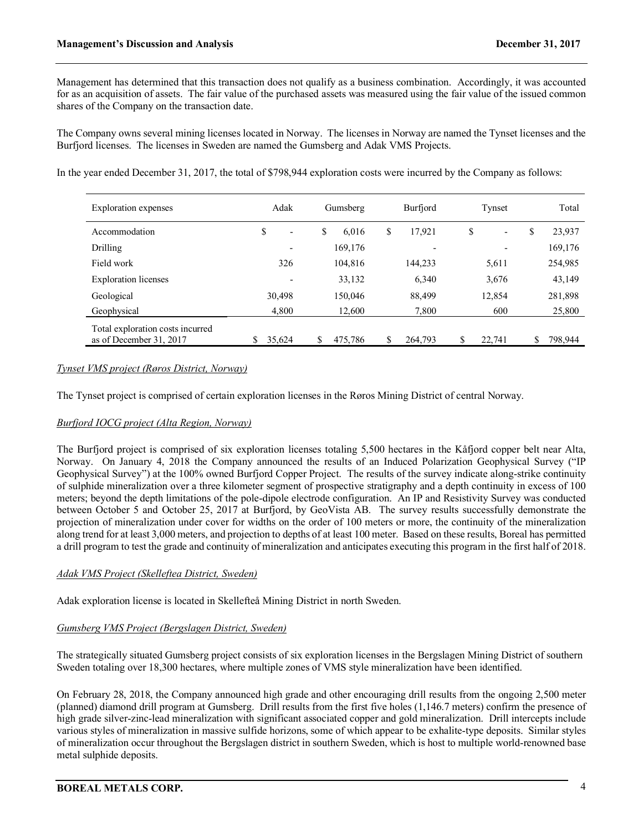Management has determined that this transaction does not qualify as a business combination. Accordingly, it was accounted for as an acquisition of assets. The fair value of the purchased assets was measured using the fair value of the issued common shares of the Company on the transaction date.

The Company owns several mining licenses located in Norway. The licenses in Norway are named the Tynset licenses and the Burfjord licenses. The licenses in Sweden are named the Gumsberg and Adak VMS Projects.

In the year ended December 31, 2017, the total of \$798,944 exploration costs were incurred by the Company as follows:

| Exploration expenses                                        | Adak                           | Gumsberg      |               | Tynset                         | Total         |
|-------------------------------------------------------------|--------------------------------|---------------|---------------|--------------------------------|---------------|
| Accommodation                                               | \$<br>$\overline{\phantom{0}}$ | \$<br>6,016   | \$<br>17,921  | \$<br>$\overline{\phantom{0}}$ | 23,937<br>\$  |
| <b>Drilling</b>                                             |                                | 169,176       |               |                                | 169,176       |
| Field work                                                  | 326                            | 104,816       | 144,233       | 5,611                          | 254,985       |
| <b>Exploration</b> licenses                                 | $\overline{\phantom{0}}$       | 33,132        | 6,340         | 3,676                          | 43,149        |
| Geological                                                  | 30,498                         | 150,046       | 88,499        | 12,854                         | 281,898       |
| Geophysical                                                 | 4,800                          | 12,600        | 7,800         | 600                            | 25,800        |
| Total exploration costs incurred<br>as of December 31, 2017 | \$<br>35,624                   | \$<br>475,786 | \$<br>264,793 | \$<br>22,741                   | \$<br>798,944 |

### *Tynset VMS project (Røros District, Norway)*

The Tynset project is comprised of certain exploration licenses in the Røros Mining District of central Norway.

### *Burfjord IOCG project (Alta Region, Norway)*

The Burfjord project is comprised of six exploration licenses totaling 5,500 hectares in the Kåfjord copper belt near Alta, Norway. On January 4, 2018 the Company announced the results of an Induced Polarization Geophysical Survey ("IP Geophysical Survey") at the 100% owned Burfjord Copper Project. The results of the survey indicate along-strike continuity of sulphide mineralization over a three kilometer segment of prospective stratigraphy and a depth continuity in excess of 100 meters; beyond the depth limitations of the pole-dipole electrode configuration. An IP and Resistivity Survey was conducted between October 5 and October 25, 2017 at Burfjord, by GeoVista AB. The survey results successfully demonstrate the projection of mineralization under cover for widths on the order of 100 meters or more, the continuity of the mineralization along trend for at least 3,000 meters, and projection to depths of at least 100 meter. Based on these results, Boreal has permitted a drill program to test the grade and continuity of mineralization and anticipates executing this program in the first half of 2018.

### *Adak VMS Project (Skelleftea District, Sweden)*

Adak exploration license is located in Skellefteå Mining District in north Sweden.

### *Gumsberg VMS Project (Bergslagen District, Sweden)*

The strategically situated Gumsberg project consists of six exploration licenses in the Bergslagen Mining District of southern Sweden totaling over 18,300 hectares, where multiple zones of VMS style mineralization have been identified.

On February 28, 2018, the Company announced high grade and other encouraging drill results from the ongoing 2,500 meter (planned) diamond drill program at Gumsberg. Drill results from the first five holes (1,146.7 meters) confirm the presence of high grade silver-zinc-lead mineralization with significant associated copper and gold mineralization. Drill intercepts include various styles of mineralization in massive sulfide horizons, some of which appear to be exhalite-type deposits. Similar styles of mineralization occur throughout the Bergslagen district in southern Sweden, which is host to multiple world-renowned base metal sulphide deposits.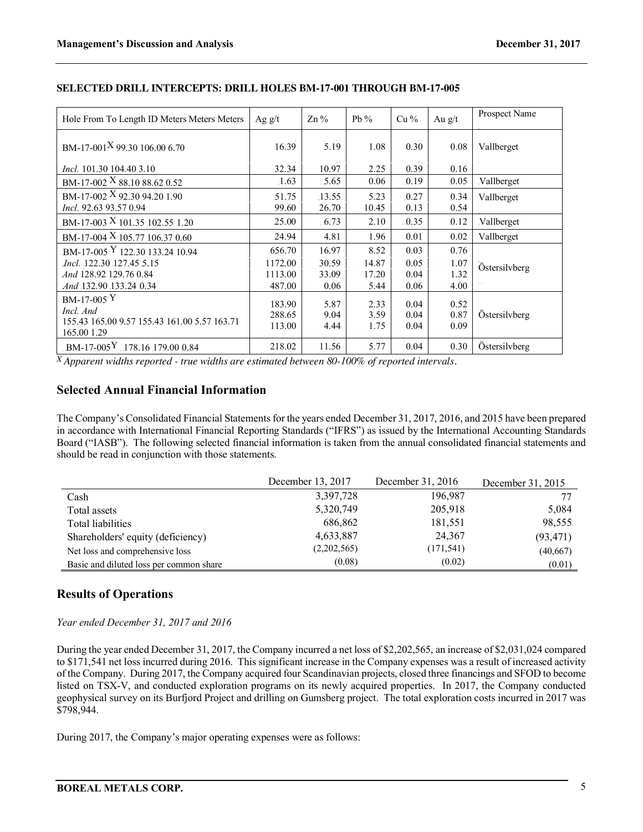| Hole From To Length ID Meters Meters Meters                 | Ag $g/t$         | $\text{Zn}\%$   | Pb $%$        | $Cu\%$        | Au $g/t$      | Prospect Name |
|-------------------------------------------------------------|------------------|-----------------|---------------|---------------|---------------|---------------|
| BM-17-001 <sup>X</sup> 99.30 106.00 6.70                    | 16.39            | 5.19            | 1.08          | 0.30          | 0.08          | Vallberget    |
| <i>Incl.</i> 101.30 104.40 3.10                             | 32.34            | 10.97           | 2.25          | 0.39          | 0.16          |               |
| BM-17-002 X 88.10 88.62 0.52                                | 1.63             | .5.65           | 0.06          | 0.19          | 0.05          | Vallberget    |
| BM-17-002 $X$ 92.30 94.20 1.90<br>Incl. 92.63 93.57 0.94    | 51.75<br>99.60   | .13.55<br>26.70 | 5.23<br>10.45 | .0.27<br>0.13 | .0.34<br>0.54 | Vallberget    |
| BM-17-003 X 101.35 102.55 1.20                              | 25.00            | 6.73            | 2.10          | 0.35          | .0.12         | Vallberget    |
| BM-17-004 X 105.77 106.37 0.60                              | 24.94            | 4.81            | 1.96          | 0.01          | 0.02          | Vallberget    |
| BM-17-005 Y 122.30 133.24 10.94                             | 656.70           | 16.97           | 8.52          | 0.03          | 0.76          |               |
| <i>Incl.</i> 122.30 127.45 5.15                             | 1172.00          | 30.59           | 14.87         | 0.05          | 1.07          | Östersilvberg |
| And 128.92 129.76 0.84                                      | 1113.00          | 33.09           | 17.20         | 0.04          | 1.32          |               |
| And 132.90 133.24 0.34                                      | 487.00           | 0.06            | 5.44          | 0.06          | 4.00          |               |
| $BM-17-005$ Y<br>Incl. And                                  | 183.90           | 5.87            | 2.33          | 0.04          | 0.52          |               |
| 155.43 165.00 9.57 155.43 161.00 5.57 163.71<br>165.00 1.29 | 288.65<br>113.00 | 9.04<br>4.44    | 3.59<br>1.75  | 0.04<br>0.04  | 0.87<br>0.09  | Östersilvberg |
| $-BM-17-005$ <sup>Y</sup> $.178.16$ 179.00 0.84             | 218.02           | 11.56           | 5.77          | 0.04          | 0.30          | Östersilvberg |

### **SELECTED DRILL INTERCEPTS: DRILL HOLES BM-17-001 THROUGH BM-17-005**

*X Apparent widths reported - true widths are estimated between 80-100% of reported intervals.* 

## **Selected Annual Financial Information**

The Company's Consolidated Financial Statements for the years ended December 31, 2017, 2016, and 2015 have been prepared in accordance with International Financial Reporting Standards ("IFRS") as issued by the International Accounting Standards Board ("IASB"). The following selected financial information is taken from the annual consolidated financial statements and should be read in conjunction with those statements.

|                                         | December 13, 2017 | December 31, 2016 | December 31, 2015 |
|-----------------------------------------|-------------------|-------------------|-------------------|
| Cash                                    | 3,397,728         | 196,987           |                   |
| Total assets                            | 5,320,749         | 205,918           | 5,084             |
| Total liabilities                       | 686,862           | 181,551           | 98,555            |
| Shareholders' equity (deficiency)       | 4,633,887         | 24,367            | (93, 471)         |
| Net loss and comprehensive loss         | (2,202,565)       | (171, 541)        | (40,667)          |
| Basic and diluted loss per common share | (0.08)            | (0.02)            | (0.01)            |

## **Results of Operations**

### *Year ended December 31, 2017 and 2016*

During the year ended December 31, 2017, the Company incurred a net loss of \$2,202,565, an increase of \$2,031,024 compared to \$171,541 net loss incurred during 2016. This significant increase in the Company expenses was a result of increased activity of the Company. During 2017, the Company acquired four Scandinavian projects, closed three financings and SFOD to become listed on TSX-V, and conducted exploration programs on its newly acquired properties. In 2017, the Company conducted geophysical survey on its Burfjord Project and drilling on Gumsberg project. The total exploration costs incurred in 2017 was \$798,944.

During 2017, the Company's major operating expenses were as follows: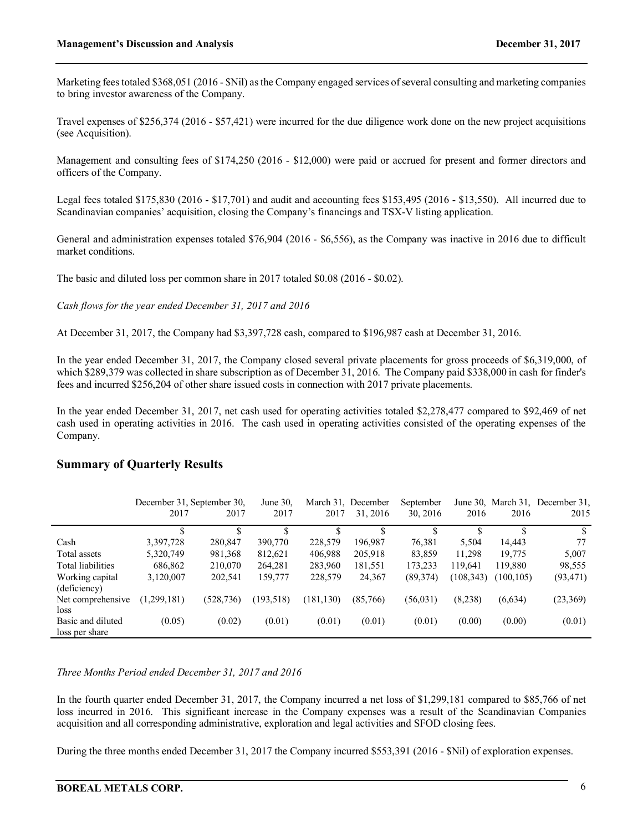Marketing fees totaled \$368,051 (2016 - \$Nil) as the Company engaged services of several consulting and marketing companies to bring investor awareness of the Company.

Travel expenses of \$256,374 (2016 - \$57,421) were incurred for the due diligence work done on the new project acquisitions (see Acquisition).

Management and consulting fees of \$174,250 (2016 - \$12,000) were paid or accrued for present and former directors and officers of the Company.

Legal fees totaled \$175,830 (2016 - \$17,701) and audit and accounting fees \$153,495 (2016 - \$13,550). All incurred due to Scandinavian companies' acquisition, closing the Company's financings and TSX-V listing application.

General and administration expenses totaled \$76,904 (2016 - \$6,556), as the Company was inactive in 2016 due to difficult market conditions.

The basic and diluted loss per common share in 2017 totaled \$0.08 (2016 - \$0.02).

*Cash flows for the year ended December 31, 2017 and 2016*

At December 31, 2017, the Company had \$3,397,728 cash, compared to \$196,987 cash at December 31, 2016.

In the year ended December 31, 2017, the Company closed several private placements for gross proceeds of \$6,319,000, of which \$289,379 was collected in share subscription as of December 31, 2016. The Company paid \$338,000 in cash for finder's fees and incurred \$256,204 of other share issued costs in connection with 2017 private placements.

In the year ended December 31, 2017, net cash used for operating activities totaled \$2,278,477 compared to \$92,469 of net cash used in operating activities in 2016. The cash used in operating activities consisted of the operating expenses of the Company.

### **Summary of Quarterly Results**

|                   | December 31, September 30, |            | June 30.   |            | March 31, December<br>September |           |            |            | June 30, March 31, December 31, |
|-------------------|----------------------------|------------|------------|------------|---------------------------------|-----------|------------|------------|---------------------------------|
|                   | 2017                       | 2017       | 2017       | 2017       | 31, 2016                        | 30, 2016  | 2016       | 2016       | 2015                            |
|                   |                            |            | \$         |            |                                 |           |            |            | S.                              |
| Cash              | 3,397,728                  | 280,847    | 390,770    | 228,579    | 196,987                         | 76,381    | 5,504      | 14,443     | 77                              |
| Total assets      | 5,320,749                  | 981,368    | 812,621    | 406,988    | 205,918                         | 83,859    | 11,298     | 19,775     | 5,007                           |
| Total liabilities | 686,862                    | 210,070    | 264,281    | 283,960    | 181,551                         | 173,233   | 119.641    | 119,880    | 98,555                          |
| Working capital   | 3,120,007                  | 202,541    | 159,777    | 228,579    | 24,367                          | (89,374)  | (108, 343) | (100, 105) | (93, 471)                       |
| (deficiency)      |                            |            |            |            |                                 |           |            |            |                                 |
| Net comprehensive | (1,299,181)                | (528, 736) | (193, 518) | (181, 130) | (85,766)                        | (56, 031) | (8.238)    | (6,634)    | (23, 369)                       |
| loss              |                            |            |            |            |                                 |           |            |            |                                 |
| Basic and diluted | (0.05)                     | (0.02)     | (0.01)     | (0.01)     | (0.01)                          | (0.01)    | (0.00)     | (0.00)     | (0.01)                          |
| loss per share    |                            |            |            |            |                                 |           |            |            |                                 |

### *Three Months Period ended December 31, 2017 and 2016*

In the fourth quarter ended December 31, 2017, the Company incurred a net loss of \$1,299,181 compared to \$85,766 of net loss incurred in 2016. This significant increase in the Company expenses was a result of the Scandinavian Companies acquisition and all corresponding administrative, exploration and legal activities and SFOD closing fees.

During the three months ended December 31, 2017 the Company incurred \$553,391 (2016 - \$Nil) of exploration expenses.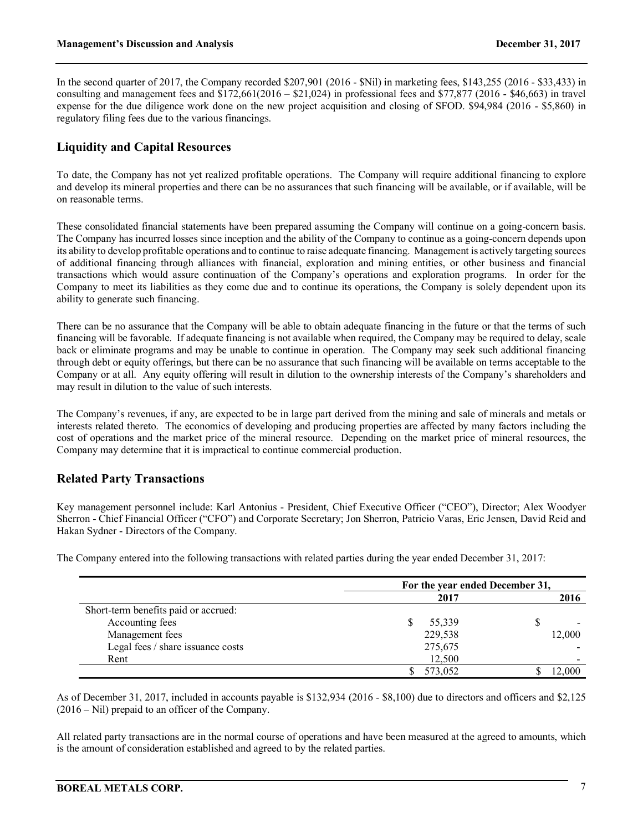In the second quarter of 2017, the Company recorded \$207,901 (2016 - \$Nil) in marketing fees, \$143,255 (2016 - \$33,433) in consulting and management fees and  $$172,661(2016 - $21,024)$  in professional fees and  $$77,877$  (2016 - \$46,663) in travel expense for the due diligence work done on the new project acquisition and closing of SFOD. \$94,984 (2016 - \$5,860) in regulatory filing fees due to the various financings.

## **Liquidity and Capital Resources**

To date, the Company has not yet realized profitable operations. The Company will require additional financing to explore and develop its mineral properties and there can be no assurances that such financing will be available, or if available, will be on reasonable terms.

These consolidated financial statements have been prepared assuming the Company will continue on a going-concern basis. The Company has incurred losses since inception and the ability of the Company to continue as a going-concern depends upon its ability to develop profitable operations and to continue to raise adequate financing. Management is actively targeting sources of additional financing through alliances with financial, exploration and mining entities, or other business and financial transactions which would assure continuation of the Company's operations and exploration programs. In order for the Company to meet its liabilities as they come due and to continue its operations, the Company is solely dependent upon its ability to generate such financing.

There can be no assurance that the Company will be able to obtain adequate financing in the future or that the terms of such financing will be favorable. If adequate financing is not available when required, the Company may be required to delay, scale back or eliminate programs and may be unable to continue in operation. The Company may seek such additional financing through debt or equity offerings, but there can be no assurance that such financing will be available on terms acceptable to the Company or at all. Any equity offering will result in dilution to the ownership interests of the Company's shareholders and may result in dilution to the value of such interests.

The Company's revenues, if any, are expected to be in large part derived from the mining and sale of minerals and metals or interests related thereto. The economics of developing and producing properties are affected by many factors including the cost of operations and the market price of the mineral resource. Depending on the market price of mineral resources, the Company may determine that it is impractical to continue commercial production.

## **Related Party Transactions**

Key management personnel include: Karl Antonius - President, Chief Executive Officer ("CEO"), Director; Alex Woodyer Sherron - Chief Financial Officer ("CFO") and Corporate Secretary; Jon Sherron, Patricio Varas, Eric Jensen, David Reid and Hakan Sydner - Directors of the Company.

The Company entered into the following transactions with related parties during the year ended December 31, 2017:

|                                      | For the year ended December 31, |        |  |
|--------------------------------------|---------------------------------|--------|--|
|                                      | 2017                            | 2016   |  |
| Short-term benefits paid or accrued: |                                 |        |  |
| Accounting fees                      | 55,339                          |        |  |
| Management fees                      | 229,538                         | 12,000 |  |
| Legal fees / share issuance costs    | 275,675                         |        |  |
| Rent                                 | 12,500                          |        |  |
|                                      | 573,052                         | 12.000 |  |

As of December 31, 2017, included in accounts payable is \$132,934 (2016 - \$8,100) due to directors and officers and \$2,125 (2016 – Nil) prepaid to an officer of the Company.

All related party transactions are in the normal course of operations and have been measured at the agreed to amounts, which is the amount of consideration established and agreed to by the related parties.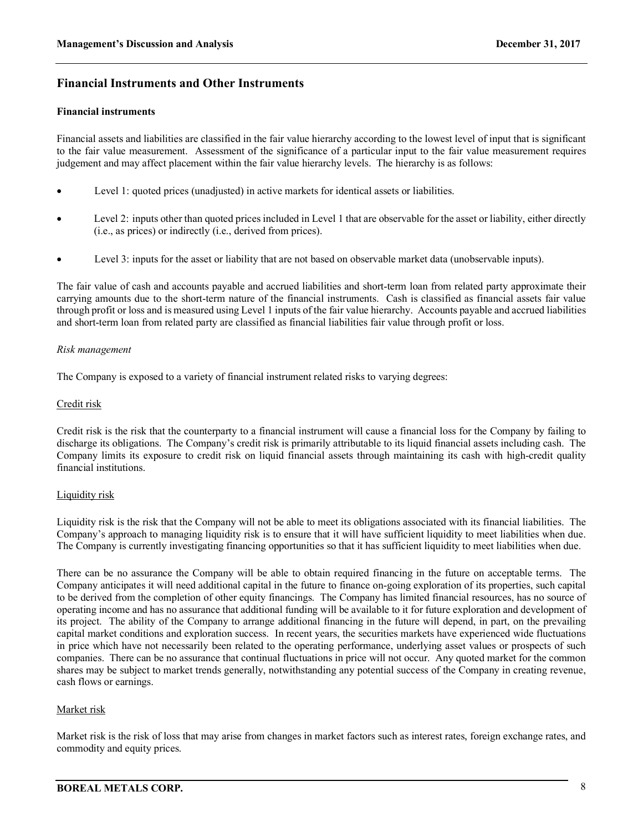## **Financial Instruments and Other Instruments**

#### **Financial instruments**

Financial assets and liabilities are classified in the fair value hierarchy according to the lowest level of input that is significant to the fair value measurement. Assessment of the significance of a particular input to the fair value measurement requires judgement and may affect placement within the fair value hierarchy levels. The hierarchy is as follows:

- Level 1: quoted prices (unadjusted) in active markets for identical assets or liabilities.
- Level 2: inputs other than quoted prices included in Level 1 that are observable for the asset or liability, either directly (i.e., as prices) or indirectly (i.e., derived from prices).
- Level 3: inputs for the asset or liability that are not based on observable market data (unobservable inputs).

The fair value of cash and accounts payable and accrued liabilities and short-term loan from related party approximate their carrying amounts due to the short-term nature of the financial instruments. Cash is classified as financial assets fair value through profit or loss and is measured using Level 1 inputs of the fair value hierarchy. Accounts payable and accrued liabilities and short-term loan from related party are classified as financial liabilities fair value through profit or loss.

#### *Risk management*

The Company is exposed to a variety of financial instrument related risks to varying degrees:

### Credit risk

Credit risk is the risk that the counterparty to a financial instrument will cause a financial loss for the Company by failing to discharge its obligations. The Company's credit risk is primarily attributable to its liquid financial assets including cash. The Company limits its exposure to credit risk on liquid financial assets through maintaining its cash with high-credit quality financial institutions.

### Liquidity risk

Liquidity risk is the risk that the Company will not be able to meet its obligations associated with its financial liabilities. The Company's approach to managing liquidity risk is to ensure that it will have sufficient liquidity to meet liabilities when due. The Company is currently investigating financing opportunities so that it has sufficient liquidity to meet liabilities when due.

There can be no assurance the Company will be able to obtain required financing in the future on acceptable terms. The Company anticipates it will need additional capital in the future to finance on-going exploration of its properties, such capital to be derived from the completion of other equity financings. The Company has limited financial resources, has no source of operating income and has no assurance that additional funding will be available to it for future exploration and development of its project. The ability of the Company to arrange additional financing in the future will depend, in part, on the prevailing capital market conditions and exploration success. In recent years, the securities markets have experienced wide fluctuations in price which have not necessarily been related to the operating performance, underlying asset values or prospects of such companies. There can be no assurance that continual fluctuations in price will not occur. Any quoted market for the common shares may be subject to market trends generally, notwithstanding any potential success of the Company in creating revenue, cash flows or earnings.

### Market risk

Market risk is the risk of loss that may arise from changes in market factors such as interest rates, foreign exchange rates, and commodity and equity prices.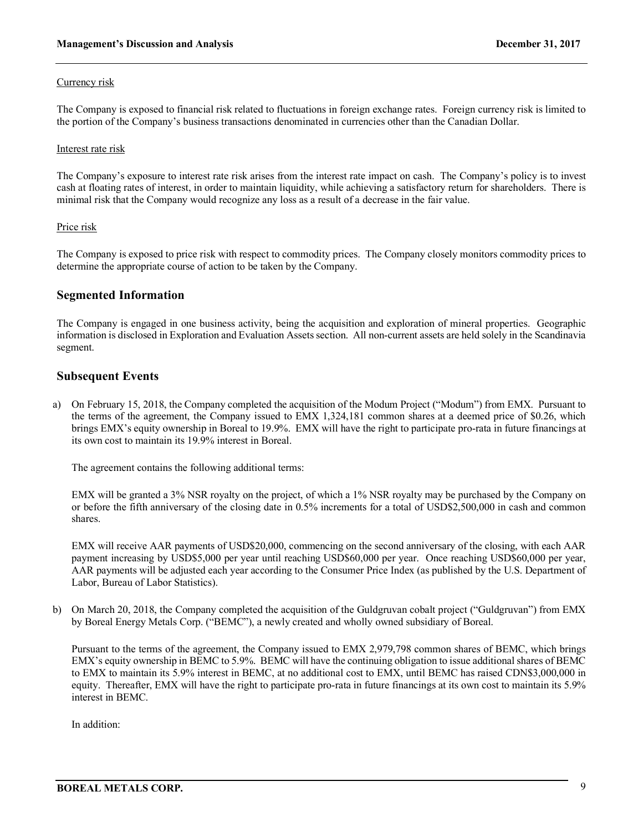#### Currency risk

The Company is exposed to financial risk related to fluctuations in foreign exchange rates. Foreign currency risk is limited to the portion of the Company's business transactions denominated in currencies other than the Canadian Dollar.

#### Interest rate risk

The Company's exposure to interest rate risk arises from the interest rate impact on cash. The Company's policy is to invest cash at floating rates of interest, in order to maintain liquidity, while achieving a satisfactory return for shareholders. There is minimal risk that the Company would recognize any loss as a result of a decrease in the fair value.

#### Price risk

The Company is exposed to price risk with respect to commodity prices. The Company closely monitors commodity prices to determine the appropriate course of action to be taken by the Company.

### **Segmented Information**

The Company is engaged in one business activity, being the acquisition and exploration of mineral properties. Geographic information is disclosed in Exploration and Evaluation Assetssection. All non-current assets are held solely in the Scandinavia segment.

### **Subsequent Events**

a) On February 15, 2018, the Company completed the acquisition of the Modum Project ("Modum") from EMX. Pursuant to the terms of the agreement, the Company issued to EMX 1,324,181 common shares at a deemed price of \$0.26, which brings EMX's equity ownership in Boreal to 19.9%. EMX will have the right to participate pro-rata in future financings at its own cost to maintain its 19.9% interest in Boreal.

The agreement contains the following additional terms:

EMX will be granted a 3% NSR royalty on the project, of which a 1% NSR royalty may be purchased by the Company on or before the fifth anniversary of the closing date in 0.5% increments for a total of USD\$2,500,000 in cash and common shares.

EMX will receive AAR payments of USD\$20,000, commencing on the second anniversary of the closing, with each AAR payment increasing by USD\$5,000 per year until reaching USD\$60,000 per year. Once reaching USD\$60,000 per year, AAR payments will be adjusted each year according to the Consumer Price Index (as published by the U.S. Department of Labor, Bureau of Labor Statistics).

b) On March 20, 2018, the Company completed the acquisition of the Guldgruvan cobalt project ("Guldgruvan") from EMX by Boreal Energy Metals Corp. ("BEMC"), a newly created and wholly owned subsidiary of Boreal.

Pursuant to the terms of the agreement, the Company issued to EMX 2,979,798 common shares of BEMC, which brings EMX's equity ownership in BEMC to 5.9%. BEMC will have the continuing obligation to issue additional shares of BEMC to EMX to maintain its 5.9% interest in BEMC, at no additional cost to EMX, until BEMC has raised CDN\$3,000,000 in equity. Thereafter, EMX will have the right to participate pro-rata in future financings at its own cost to maintain its 5.9% interest in BEMC.

In addition: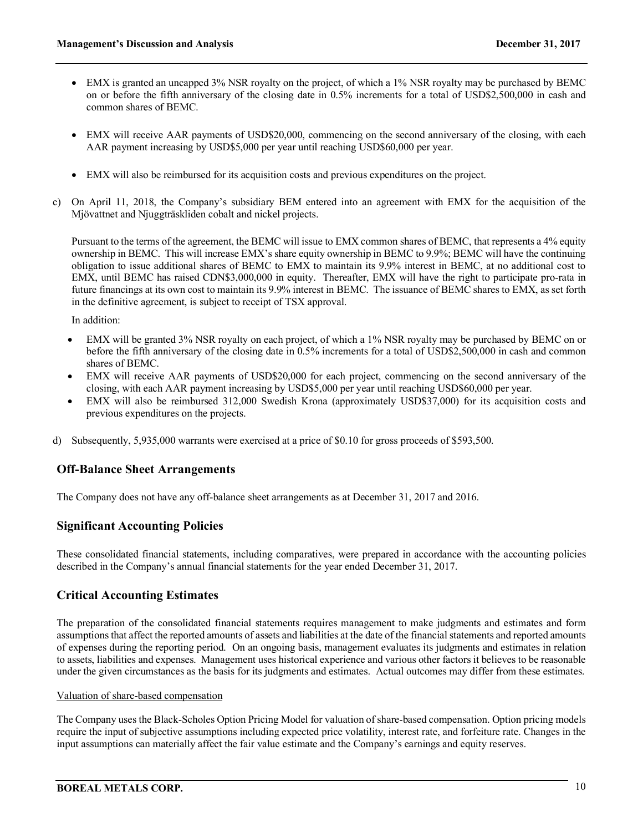- EMX is granted an uncapped 3% NSR royalty on the project, of which a 1% NSR royalty may be purchased by BEMC on or before the fifth anniversary of the closing date in 0.5% increments for a total of USD\$2,500,000 in cash and common shares of BEMC.
- EMX will receive AAR payments of USD\$20,000, commencing on the second anniversary of the closing, with each AAR payment increasing by USD\$5,000 per year until reaching USD\$60,000 per year.
- EMX will also be reimbursed for its acquisition costs and previous expenditures on the project.
- c) On April 11, 2018, the Company's subsidiary BEM entered into an agreement with EMX for the acquisition of the Mjövattnet and Njuggträskliden cobalt and nickel projects.

Pursuant to the terms of the agreement, the BEMC will issue to EMX common shares of BEMC, that represents a 4% equity ownership in BEMC. This will increase EMX's share equity ownership in BEMC to 9.9%; BEMC will have the continuing obligation to issue additional shares of BEMC to EMX to maintain its 9.9% interest in BEMC, at no additional cost to EMX, until BEMC has raised CDN\$3,000,000 in equity. Thereafter, EMX will have the right to participate pro-rata in future financings at its own cost to maintain its 9.9% interest in BEMC. The issuance of BEMC shares to EMX, as set forth in the definitive agreement, is subject to receipt of TSX approval.

In addition:

- EMX will be granted 3% NSR royalty on each project, of which a 1% NSR royalty may be purchased by BEMC on or before the fifth anniversary of the closing date in 0.5% increments for a total of USD\$2,500,000 in cash and common shares of BEMC.
- EMX will receive AAR payments of USD\$20,000 for each project, commencing on the second anniversary of the closing, with each AAR payment increasing by USD\$5,000 per year until reaching USD\$60,000 per year.
- EMX will also be reimbursed 312,000 Swedish Krona (approximately USD\$37,000) for its acquisition costs and previous expenditures on the projects.
- d) Subsequently, 5,935,000 warrants were exercised at a price of \$0.10 for gross proceeds of \$593,500.

### **Off-Balance Sheet Arrangements**

The Company does not have any off-balance sheet arrangements as at December 31, 2017 and 2016.

## **Significant Accounting Policies**

These consolidated financial statements, including comparatives, were prepared in accordance with the accounting policies described in the Company's annual financial statements for the year ended December 31, 2017.

## **Critical Accounting Estimates**

The preparation of the consolidated financial statements requires management to make judgments and estimates and form assumptions that affect the reported amounts of assets and liabilities at the date of the financial statements and reported amounts of expenses during the reporting period. On an ongoing basis, management evaluates its judgments and estimates in relation to assets, liabilities and expenses. Management uses historical experience and various other factors it believes to be reasonable under the given circumstances as the basis for its judgments and estimates. Actual outcomes may differ from these estimates.

### Valuation of share-based compensation

The Company uses the Black-Scholes Option Pricing Model for valuation of share-based compensation. Option pricing models require the input of subjective assumptions including expected price volatility, interest rate, and forfeiture rate. Changes in the input assumptions can materially affect the fair value estimate and the Company's earnings and equity reserves.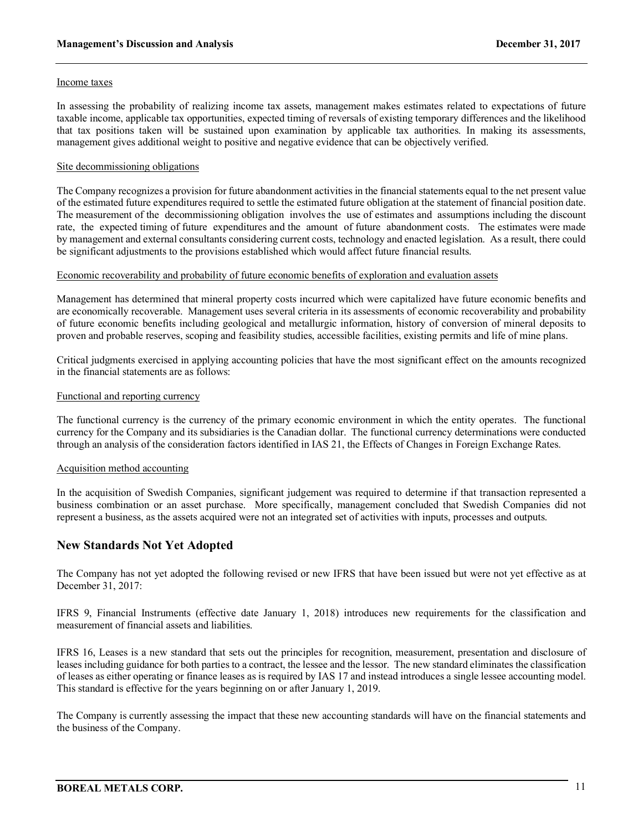#### Income taxes

In assessing the probability of realizing income tax assets, management makes estimates related to expectations of future taxable income, applicable tax opportunities, expected timing of reversals of existing temporary differences and the likelihood that tax positions taken will be sustained upon examination by applicable tax authorities. In making its assessments, management gives additional weight to positive and negative evidence that can be objectively verified.

#### Site decommissioning obligations

The Company recognizes a provision for future abandonment activities in the financial statements equal to the net present value of the estimated future expenditures required to settle the estimated future obligation at the statement of financial position date. The measurement of the decommissioning obligation involves the use of estimates and assumptions including the discount rate, the expected timing of future expenditures and the amount of future abandonment costs. The estimates were made by management and external consultants considering current costs, technology and enacted legislation. As a result, there could be significant adjustments to the provisions established which would affect future financial results.

#### Economic recoverability and probability of future economic benefits of exploration and evaluation assets

Management has determined that mineral property costs incurred which were capitalized have future economic benefits and are economically recoverable. Management uses several criteria in its assessments of economic recoverability and probability of future economic benefits including geological and metallurgic information, history of conversion of mineral deposits to proven and probable reserves, scoping and feasibility studies, accessible facilities, existing permits and life of mine plans.

Critical judgments exercised in applying accounting policies that have the most significant effect on the amounts recognized in the financial statements are as follows:

#### Functional and reporting currency

The functional currency is the currency of the primary economic environment in which the entity operates. The functional currency for the Company and its subsidiaries is the Canadian dollar. The functional currency determinations were conducted through an analysis of the consideration factors identified in IAS 21, the Effects of Changes in Foreign Exchange Rates.

### Acquisition method accounting

In the acquisition of Swedish Companies, significant judgement was required to determine if that transaction represented a business combination or an asset purchase. More specifically, management concluded that Swedish Companies did not represent a business, as the assets acquired were not an integrated set of activities with inputs, processes and outputs.

### **New Standards Not Yet Adopted**

The Company has not yet adopted the following revised or new IFRS that have been issued but were not yet effective as at December 31, 2017:

IFRS 9, Financial Instruments (effective date January 1, 2018) introduces new requirements for the classification and measurement of financial assets and liabilities.

IFRS 16, Leases is a new standard that sets out the principles for recognition, measurement, presentation and disclosure of leases including guidance for both parties to a contract, the lessee and the lessor. The new standard eliminates the classification of leases as either operating or finance leases as is required by IAS 17 and instead introduces a single lessee accounting model. This standard is effective for the years beginning on or after January 1, 2019.

The Company is currently assessing the impact that these new accounting standards will have on the financial statements and the business of the Company.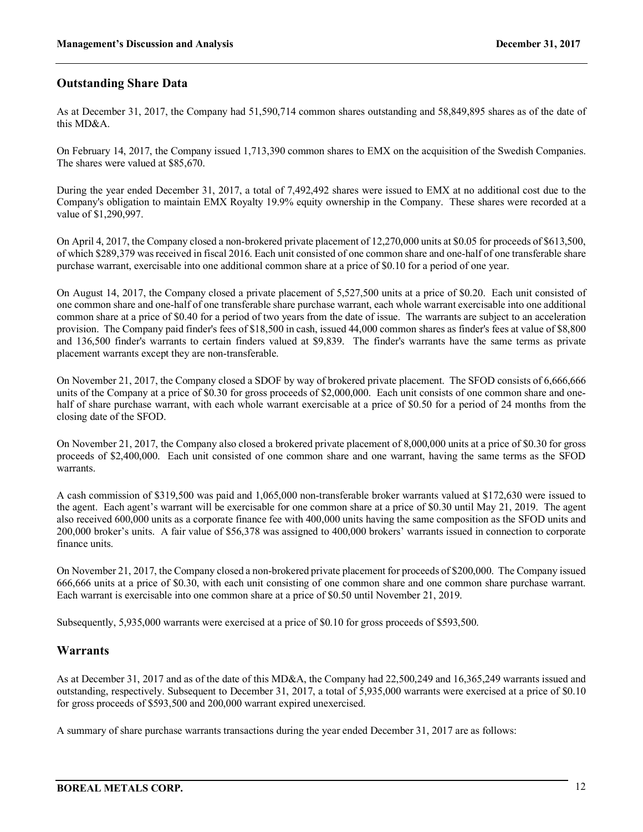## **Outstanding Share Data**

As at December 31, 2017, the Company had 51,590,714 common shares outstanding and 58,849,895 shares as of the date of this MD&A.

On February 14, 2017, the Company issued 1,713,390 common shares to EMX on the acquisition of the Swedish Companies. The shares were valued at \$85,670.

During the year ended December 31, 2017, a total of 7,492,492 shares were issued to EMX at no additional cost due to the Company's obligation to maintain EMX Royalty 19.9% equity ownership in the Company. These shares were recorded at a value of \$1,290,997.

On April 4, 2017, the Company closed a non-brokered private placement of 12,270,000 units at \$0.05 for proceeds of \$613,500, of which \$289,379 was received in fiscal 2016. Each unit consisted of one common share and one-half of one transferable share purchase warrant, exercisable into one additional common share at a price of \$0.10 for a period of one year.

On August 14, 2017, the Company closed a private placement of 5,527,500 units at a price of \$0.20. Each unit consisted of one common share and one-half of one transferable share purchase warrant, each whole warrant exercisable into one additional common share at a price of \$0.40 for a period of two years from the date of issue. The warrants are subject to an acceleration provision. The Company paid finder's fees of \$18,500 in cash, issued 44,000 common shares as finder's fees at value of \$8,800 and 136,500 finder's warrants to certain finders valued at \$9,839. The finder's warrants have the same terms as private placement warrants except they are non-transferable.

On November 21, 2017, the Company closed a SDOF by way of brokered private placement. The SFOD consists of 6,666,666 units of the Company at a price of \$0.30 for gross proceeds of \$2,000,000. Each unit consists of one common share and onehalf of share purchase warrant, with each whole warrant exercisable at a price of \$0.50 for a period of 24 months from the closing date of the SFOD.

On November 21, 2017, the Company also closed a brokered private placement of 8,000,000 units at a price of \$0.30 for gross proceeds of \$2,400,000. Each unit consisted of one common share and one warrant, having the same terms as the SFOD warrants.

A cash commission of \$319,500 was paid and 1,065,000 non-transferable broker warrants valued at \$172,630 were issued to the agent. Each agent's warrant will be exercisable for one common share at a price of \$0.30 until May 21, 2019. The agent also received 600,000 units as a corporate finance fee with 400,000 units having the same composition as the SFOD units and 200,000 broker's units. A fair value of \$56,378 was assigned to 400,000 brokers' warrants issued in connection to corporate finance units.

On November 21, 2017, the Company closed a non-brokered private placement for proceeds of \$200,000. The Company issued 666,666 units at a price of \$0.30, with each unit consisting of one common share and one common share purchase warrant. Each warrant is exercisable into one common share at a price of \$0.50 until November 21, 2019.

Subsequently, 5,935,000 warrants were exercised at a price of \$0.10 for gross proceeds of \$593,500.

### **Warrants**

As at December 31, 2017 and as of the date of this MD&A, the Company had 22,500,249 and 16,365,249 warrants issued and outstanding, respectively. Subsequent to December 31, 2017, a total of 5,935,000 warrants were exercised at a price of \$0.10 for gross proceeds of \$593,500 and 200,000 warrant expired unexercised.

A summary of share purchase warrants transactions during the year ended December 31, 2017 are as follows: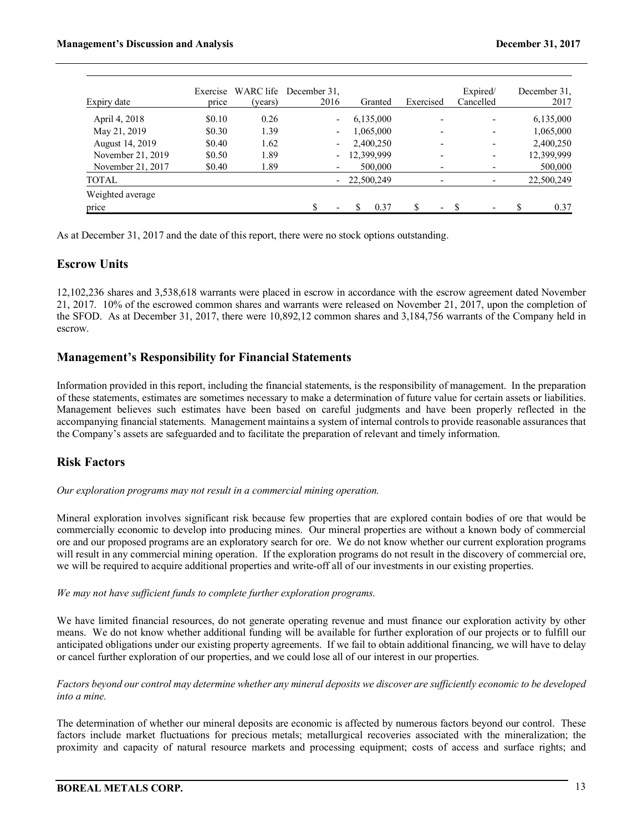| Expiry date       | price  | (years) | Exercise WARC life December 31.<br>2016 | Granted    | Exercised | Expired/<br>Cancelled | December 31,<br>2017 |
|-------------------|--------|---------|-----------------------------------------|------------|-----------|-----------------------|----------------------|
| April 4, 2018     | \$0.10 | 0.26    | $\overline{\phantom{0}}$                | 6,135,000  |           |                       | 6,135,000            |
| May 21, 2019      | \$0.30 | 1.39    |                                         | 1,065,000  |           | ۰                     | 1,065,000            |
| August 14, 2019   | \$0.40 | 1.62    |                                         | 2,400,250  |           | ۰                     | 2,400,250            |
| November 21, 2019 | \$0.50 | 1.89    | $\sim$                                  | 12,399,999 |           | ۰                     | 12,399,999           |
| November 21, 2017 | \$0.40 | 1.89    |                                         | 500,000    |           |                       | 500,000              |
| <b>TOTAL</b>      |        |         |                                         | 22,500,249 |           | -                     | 22,500,249           |
| Weighted average  |        |         |                                         |            |           |                       |                      |
| price             |        |         | ዩ                                       | 0.37       |           |                       | \$<br>0.37           |

As at December 31, 2017 and the date of this report, there were no stock options outstanding.

### **Escrow Units**

12,102,236 shares and 3,538,618 warrants were placed in escrow in accordance with the escrow agreement dated November 21, 2017. 10% of the escrowed common shares and warrants were released on November 21, 2017, upon the completion of the SFOD. As at December 31, 2017, there were 10,892,12 common shares and 3,184,756 warrants of the Company held in escrow.

### **Management's Responsibility for Financial Statements**

Information provided in this report, including the financial statements, is the responsibility of management. In the preparation of these statements, estimates are sometimes necessary to make a determination of future value for certain assets or liabilities. Management believes such estimates have been based on careful judgments and have been properly reflected in the accompanying financial statements. Management maintains a system of internal controls to provide reasonable assurances that the Company's assets are safeguarded and to facilitate the preparation of relevant and timely information.

## **Risk Factors**

*Our exploration programs may not result in a commercial mining operation.*

Mineral exploration involves significant risk because few properties that are explored contain bodies of ore that would be commercially economic to develop into producing mines. Our mineral properties are without a known body of commercial ore and our proposed programs are an exploratory search for ore. We do not know whether our current exploration programs will result in any commercial mining operation. If the exploration programs do not result in the discovery of commercial ore, we will be required to acquire additional properties and write-off all of our investments in our existing properties.

### *We may not have sufficient funds to complete further exploration programs.*

We have limited financial resources, do not generate operating revenue and must finance our exploration activity by other means. We do not know whether additional funding will be available for further exploration of our projects or to fulfill our anticipated obligations under our existing property agreements. If we fail to obtain additional financing, we will have to delay or cancel further exploration of our properties, and we could lose all of our interest in our properties.

*Factors beyond our control may determine whether any mineral deposits we discover are sufficiently economic to be developed into a mine.*

The determination of whether our mineral deposits are economic is affected by numerous factors beyond our control. These factors include market fluctuations for precious metals; metallurgical recoveries associated with the mineralization; the proximity and capacity of natural resource markets and processing equipment; costs of access and surface rights; and